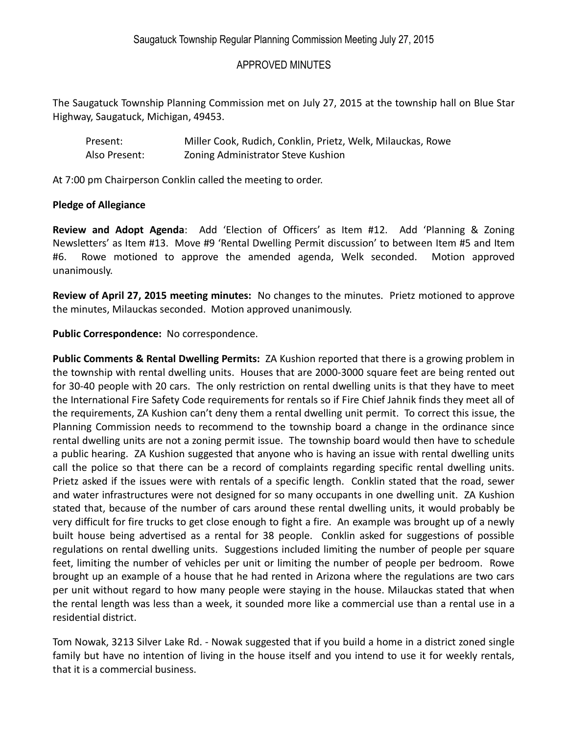### APPROVED MINUTES

The Saugatuck Township Planning Commission met on July 27, 2015 at the township hall on Blue Star Highway, Saugatuck, Michigan, 49453.

| Present:      | Miller Cook, Rudich, Conklin, Prietz, Welk, Milauckas, Rowe |
|---------------|-------------------------------------------------------------|
| Also Present: | Zoning Administrator Steve Kushion                          |

At 7:00 pm Chairperson Conklin called the meeting to order.

#### **Pledge of Allegiance**

**Review and Adopt Agenda**: Add 'Election of Officers' as Item #12. Add 'Planning & Zoning Newsletters' as Item #13. Move #9 'Rental Dwelling Permit discussion' to between Item #5 and Item #6. Rowe motioned to approve the amended agenda, Welk seconded. Motion approved unanimously.

**Review of April 27, 2015 meeting minutes:** No changes to the minutes. Prietz motioned to approve the minutes, Milauckas seconded. Motion approved unanimously.

#### **Public Correspondence:** No correspondence.

**Public Comments & Rental Dwelling Permits:** ZA Kushion reported that there is a growing problem in the township with rental dwelling units. Houses that are 2000-3000 square feet are being rented out for 30-40 people with 20 cars. The only restriction on rental dwelling units is that they have to meet the International Fire Safety Code requirements for rentals so if Fire Chief Jahnik finds they meet all of the requirements, ZA Kushion can't deny them a rental dwelling unit permit. To correct this issue, the Planning Commission needs to recommend to the township board a change in the ordinance since rental dwelling units are not a zoning permit issue. The township board would then have to schedule a public hearing. ZA Kushion suggested that anyone who is having an issue with rental dwelling units call the police so that there can be a record of complaints regarding specific rental dwelling units. Prietz asked if the issues were with rentals of a specific length. Conklin stated that the road, sewer and water infrastructures were not designed for so many occupants in one dwelling unit. ZA Kushion stated that, because of the number of cars around these rental dwelling units, it would probably be very difficult for fire trucks to get close enough to fight a fire. An example was brought up of a newly built house being advertised as a rental for 38 people. Conklin asked for suggestions of possible regulations on rental dwelling units. Suggestions included limiting the number of people per square feet, limiting the number of vehicles per unit or limiting the number of people per bedroom. Rowe brought up an example of a house that he had rented in Arizona where the regulations are two cars per unit without regard to how many people were staying in the house. Milauckas stated that when the rental length was less than a week, it sounded more like a commercial use than a rental use in a residential district.

Tom Nowak, 3213 Silver Lake Rd. - Nowak suggested that if you build a home in a district zoned single family but have no intention of living in the house itself and you intend to use it for weekly rentals, that it is a commercial business.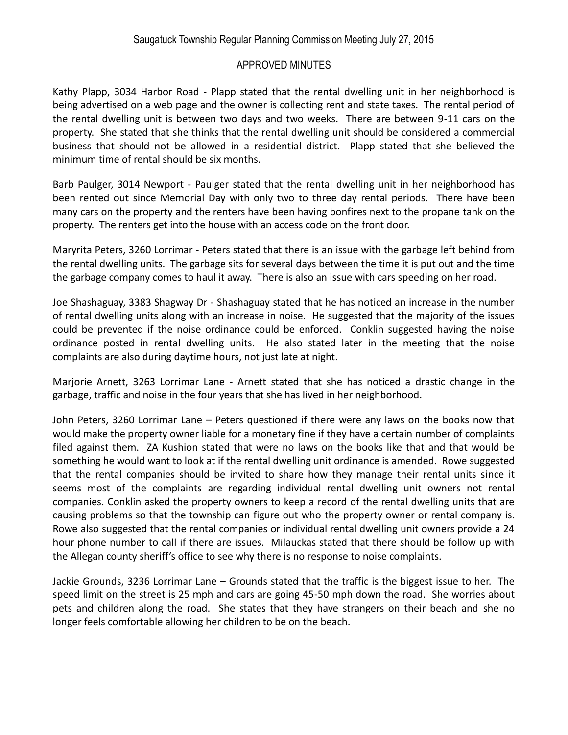### Saugatuck Township Regular Planning Commission Meeting July 27, 2015

#### APPROVED MINUTES

Kathy Plapp, 3034 Harbor Road - Plapp stated that the rental dwelling unit in her neighborhood is being advertised on a web page and the owner is collecting rent and state taxes. The rental period of the rental dwelling unit is between two days and two weeks. There are between 9-11 cars on the property. She stated that she thinks that the rental dwelling unit should be considered a commercial business that should not be allowed in a residential district. Plapp stated that she believed the minimum time of rental should be six months.

Barb Paulger, 3014 Newport - Paulger stated that the rental dwelling unit in her neighborhood has been rented out since Memorial Day with only two to three day rental periods. There have been many cars on the property and the renters have been having bonfires next to the propane tank on the property. The renters get into the house with an access code on the front door.

Maryrita Peters, 3260 Lorrimar - Peters stated that there is an issue with the garbage left behind from the rental dwelling units. The garbage sits for several days between the time it is put out and the time the garbage company comes to haul it away. There is also an issue with cars speeding on her road.

Joe Shashaguay, 3383 Shagway Dr - Shashaguay stated that he has noticed an increase in the number of rental dwelling units along with an increase in noise. He suggested that the majority of the issues could be prevented if the noise ordinance could be enforced. Conklin suggested having the noise ordinance posted in rental dwelling units. He also stated later in the meeting that the noise complaints are also during daytime hours, not just late at night.

Marjorie Arnett, 3263 Lorrimar Lane - Arnett stated that she has noticed a drastic change in the garbage, traffic and noise in the four years that she has lived in her neighborhood.

John Peters, 3260 Lorrimar Lane – Peters questioned if there were any laws on the books now that would make the property owner liable for a monetary fine if they have a certain number of complaints filed against them. ZA Kushion stated that were no laws on the books like that and that would be something he would want to look at if the rental dwelling unit ordinance is amended. Rowe suggested that the rental companies should be invited to share how they manage their rental units since it seems most of the complaints are regarding individual rental dwelling unit owners not rental companies. Conklin asked the property owners to keep a record of the rental dwelling units that are causing problems so that the township can figure out who the property owner or rental company is. Rowe also suggested that the rental companies or individual rental dwelling unit owners provide a 24 hour phone number to call if there are issues. Milauckas stated that there should be follow up with the Allegan county sheriff's office to see why there is no response to noise complaints.

Jackie Grounds, 3236 Lorrimar Lane – Grounds stated that the traffic is the biggest issue to her. The speed limit on the street is 25 mph and cars are going 45-50 mph down the road. She worries about pets and children along the road. She states that they have strangers on their beach and she no longer feels comfortable allowing her children to be on the beach.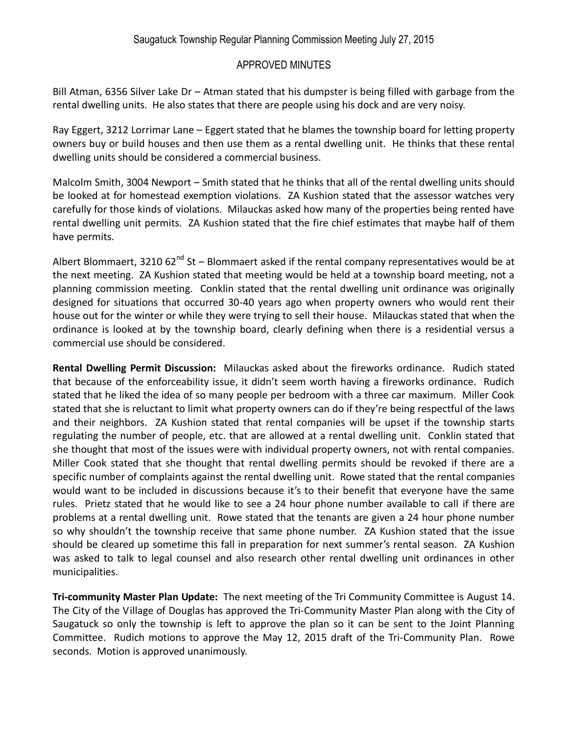# APPROVED MINUTES

Bill Atman, 6356 Silver Lake Dr – Atman stated that his dumpster is being filled with garbage from the rental dwelling units. He also states that there are people using his dock and are very noisy.

Ray Eggert, 3212 Lorrimar Lane – Eggert stated that he blames the township board for letting property owners buy or build houses and then use them as a rental dwelling unit. He thinks that these rental dwelling units should be considered a commercial business.

Malcolm Smith, 3004 Newport – Smith stated that he thinks that all of the rental dwelling units should be looked at for homestead exemption violations. ZA Kushion stated that the assessor watches very carefully for those kinds of violations. Milauckas asked how many of the properties being rented have rental dwelling unit permits. ZA Kushion stated that the fire chief estimates that maybe half of them have permits.

Albert Blommaert, 3210 62<sup>nd</sup> St – Blommaert asked if the rental company representatives would be at the next meeting. ZA Kushion stated that meeting would be held at a township board meeting, not a planning commission meeting. Conklin stated that the rental dwelling unit ordinance was originally designed for situations that occurred 30-40 years ago when property owners who would rent their house out for the winter or while they were trying to sell their house. Milauckas stated that when the ordinance is looked at by the township board, clearly defining when there is a residential versus a commercial use should be considered.

**Rental Dwelling Permit Discussion:** Milauckas asked about the fireworks ordinance. Rudich stated that because of the enforceability issue, it didn't seem worth having a fireworks ordinance. Rudich stated that he liked the idea of so many people per bedroom with a three car maximum. Miller Cook stated that she is reluctant to limit what property owners can do if they're being respectful of the laws and their neighbors. ZA Kushion stated that rental companies will be upset if the township starts regulating the number of people, etc. that are allowed at a rental dwelling unit. Conklin stated that she thought that most of the issues were with individual property owners, not with rental companies. Miller Cook stated that she thought that rental dwelling permits should be revoked if there are a specific number of complaints against the rental dwelling unit. Rowe stated that the rental companies would want to be included in discussions because it's to their benefit that everyone have the same rules. Prietz stated that he would like to see a 24 hour phone number available to call if there are problems at a rental dwelling unit. Rowe stated that the tenants are given a 24 hour phone number so why shouldn't the township receive that same phone number. ZA Kushion stated that the issue should be cleared up sometime this fall in preparation for next summer's rental season. ZA Kushion was asked to talk to legal counsel and also research other rental dwelling unit ordinances in other municipalities.

**Tri-community Master Plan Update:** The next meeting of the Tri Community Committee is August 14. The City of the Village of Douglas has approved the Tri-Community Master Plan along with the City of Saugatuck so only the township is left to approve the plan so it can be sent to the Joint Planning Committee. Rudich motions to approve the May 12, 2015 draft of the Tri-Community Plan. Rowe seconds. Motion is approved unanimously.